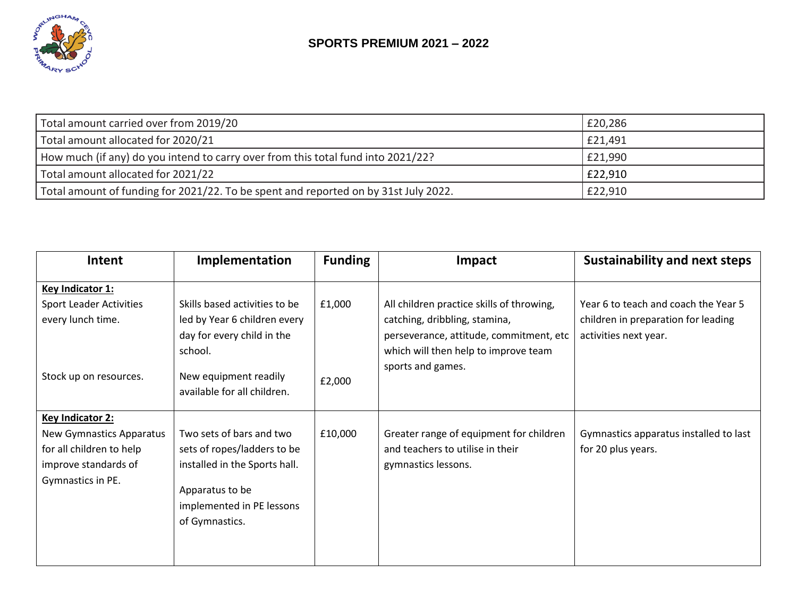

| Total amount carried over from 2019/20                                              | £20,286 |
|-------------------------------------------------------------------------------------|---------|
| Total amount allocated for 2020/21                                                  | £21,491 |
| How much (if any) do you intend to carry over from this total fund into 2021/22?    | £21,990 |
| Total amount allocated for 2021/22                                                  | £22,910 |
| Total amount of funding for 2021/22. To be spent and reported on by 31st July 2022. | £22,910 |

| <b>Intent</b>                                                                                                                | <b>Implementation</b>                                                                                                                                      | <b>Funding</b> | <b>Impact</b>                                                                                        | <b>Sustainability and next steps</b>                                        |
|------------------------------------------------------------------------------------------------------------------------------|------------------------------------------------------------------------------------------------------------------------------------------------------------|----------------|------------------------------------------------------------------------------------------------------|-----------------------------------------------------------------------------|
| Key Indicator 1:<br><b>Sport Leader Activities</b><br>every lunch time.                                                      | Skills based activities to be<br>led by Year 6 children every                                                                                              | £1,000         | All children practice skills of throwing,<br>catching, dribbling, stamina,                           | Year 6 to teach and coach the Year 5<br>children in preparation for leading |
|                                                                                                                              | day for every child in the<br>school.                                                                                                                      |                | perseverance, attitude, commitment, etc<br>which will then help to improve team<br>sports and games. | activities next year.                                                       |
| Stock up on resources.                                                                                                       | New equipment readily<br>available for all children.                                                                                                       | £2,000         |                                                                                                      |                                                                             |
| <b>Key Indicator 2:</b><br>New Gymnastics Apparatus<br>for all children to help<br>improve standards of<br>Gymnastics in PE. | Two sets of bars and two<br>sets of ropes/ladders to be<br>installed in the Sports hall.<br>Apparatus to be<br>implemented in PE lessons<br>of Gymnastics. | £10,000        | Greater range of equipment for children<br>and teachers to utilise in their<br>gymnastics lessons.   | Gymnastics apparatus installed to last<br>for 20 plus years.                |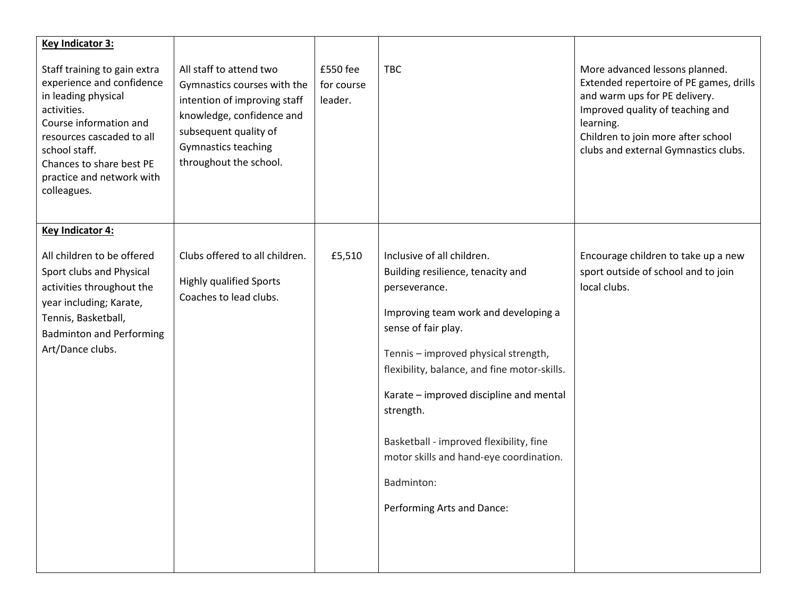| <b>Key Indicator 3:</b>                                                                                                                                                                                                                         |                                                                                                                                                                                                      |                                   |                                                                                                                                                                                                                                                                                                                                                                                                                                   |                                                                                                                                                                                                                                           |
|-------------------------------------------------------------------------------------------------------------------------------------------------------------------------------------------------------------------------------------------------|------------------------------------------------------------------------------------------------------------------------------------------------------------------------------------------------------|-----------------------------------|-----------------------------------------------------------------------------------------------------------------------------------------------------------------------------------------------------------------------------------------------------------------------------------------------------------------------------------------------------------------------------------------------------------------------------------|-------------------------------------------------------------------------------------------------------------------------------------------------------------------------------------------------------------------------------------------|
| Staff training to gain extra<br>experience and confidence<br>in leading physical<br>activities.<br>Course information and<br>resources cascaded to all<br>school staff.<br>Chances to share best PE<br>practice and network with<br>colleagues. | All staff to attend two<br>Gymnastics courses with the<br>intention of improving staff<br>knowledge, confidence and<br>subsequent quality of<br><b>Gymnastics teaching</b><br>throughout the school. | £550 fee<br>for course<br>leader. | <b>TBC</b>                                                                                                                                                                                                                                                                                                                                                                                                                        | More advanced lessons planned.<br>Extended repertoire of PE games, drills<br>and warm ups for PE delivery.<br>Improved quality of teaching and<br>learning.<br>Children to join more after school<br>clubs and external Gymnastics clubs. |
| <b>Key Indicator 4:</b>                                                                                                                                                                                                                         |                                                                                                                                                                                                      |                                   |                                                                                                                                                                                                                                                                                                                                                                                                                                   |                                                                                                                                                                                                                                           |
| All children to be offered<br>Sport clubs and Physical<br>activities throughout the<br>year including; Karate,<br>Tennis, Basketball,<br><b>Badminton and Performing</b><br>Art/Dance clubs.                                                    | Clubs offered to all children.<br><b>Highly qualified Sports</b><br>Coaches to lead clubs.                                                                                                           | £5,510                            | Inclusive of all children.<br>Building resilience, tenacity and<br>perseverance.<br>Improving team work and developing a<br>sense of fair play.<br>Tennis - improved physical strength,<br>flexibility, balance, and fine motor-skills.<br>Karate - improved discipline and mental<br>strength.<br>Basketball - improved flexibility, fine<br>motor skills and hand-eye coordination.<br>Badminton:<br>Performing Arts and Dance: | Encourage children to take up a new<br>sport outside of school and to join<br>local clubs.                                                                                                                                                |